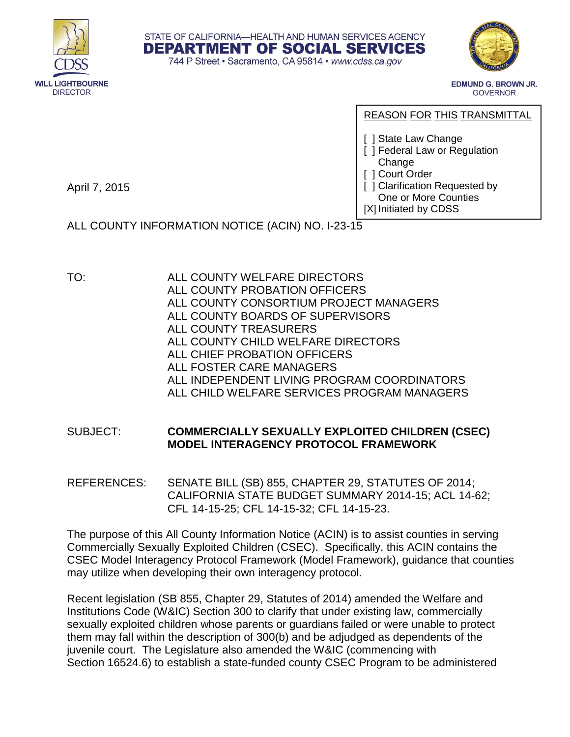



**EDMUND G. BROWN JR. GOVERNOR** 

REASON FOR THIS TRANSMITTAL

- [ ] State Law Change
- [ ] Federal Law or Regulation **Change**
- [ ] Court Order
- [ ] Clarification Requested by

One or More Counties [X] Initiated by CDSS

April 7, 2015

ALL COUNTY INFORMATION NOTICE (ACIN) NO. I-23-15

TO: ALL COUNTY WELFARE DIRECTORS ALL COUNTY PROBATION OFFICERS ALL COUNTY CONSORTIUM PROJECT MANAGERS ALL COUNTY BOARDS OF SUPERVISORS ALL COUNTY TREASURERS ALL COUNTY CHILD WELFARE DIRECTORS ALL CHIEF PROBATION OFFICERS ALL FOSTER CARE MANAGERS ALL INDEPENDENT LIVING PROGRAM COORDINATORS ALL CHILD WELFARE SERVICES PROGRAM MANAGERS

STATE OF CALIFORNIA-HEALTH AND HUMAN SERVICES AGENCY **DEPARTMENT OF SOCIAL SERVICES** 744 P Street · Sacramento, CA 95814 · www.cdss.ca.gov

## SUBJECT: **COMMERCIALLY SEXUALLY EXPLOITED CHILDREN (CSEC) MODEL INTERAGENCY PROTOCOL FRAMEWORK**

REFERENCES: [SENATE BILL \(SB\) 855, CHAPTER 29, STATUTES OF 2014;](http://leginfo.legislature.ca.gov/faces/billNavClient.xhtml?bill_id=201320140SB855&search_keywords=) [CALIFORNIA STATE BUDGET SUMMARY 2014-15;](http://www.ebudget.ca.gov/2014-15/pdf/Enacted/BudgetSummary/FullBudgetSummary.pdf) [ACL 14-62;](http://www.dss.cahwnet.gov/lettersnotices/EntRes/getinfo/acl/2014/14-62.Pdf) [CFL 14-15-25;](http://www.dss.cahwnet.gov/lettersnotices/EntRes/getinfo/cfl/2014-15/14-15_25.pdf) [CFL 14-15-32;](http://www.dss.cahwnet.gov/lettersnotices/EntRes/getinfo/cfl/2014-15/14-15_32.pdf) [CFL 14-15-23.](http://www.dss.cahwnet.gov/lettersnotices/EntRes/getinfo/cfl/2014-15/14-15_23.pdf)

The purpose of this All County Information Notice (ACIN) is to assist counties in serving Commercially Sexually Exploited Children (CSEC). Specifically, this ACIN contains the CSEC Model Interagency Protocol Framework (Model Framework), guidance that counties may utilize when developing their own interagency protocol.

Recent legislation [\(SB 855,](http://leginfo.legislature.ca.gov/faces/billNavClient.xhtml?bill_id=201320140SB855&search_keywords=) Chapter 29, Statutes of 2014) amended the Welfare and Institutions Code [\(W&IC\) Section 300](http://www.leginfo.ca.gov/cgi-bin/displaycode?section=wic&group=00001-01000&file=300-304.7) to clarify that under existing law, commercially sexually exploited children whose parents or guardians failed or were unable to protect them may fall within the description of 300(b) and be adjudged as dependents of the juvenile court. The Legislature also amended the W&IC (commencing with Section 16524.6) to establish a state-funded county [CSEC Program](http://www.leginfo.ca.gov/cgi-bin/displaycode?section=wic&group=16001-17000&file=16524.6-16524.11) to be administered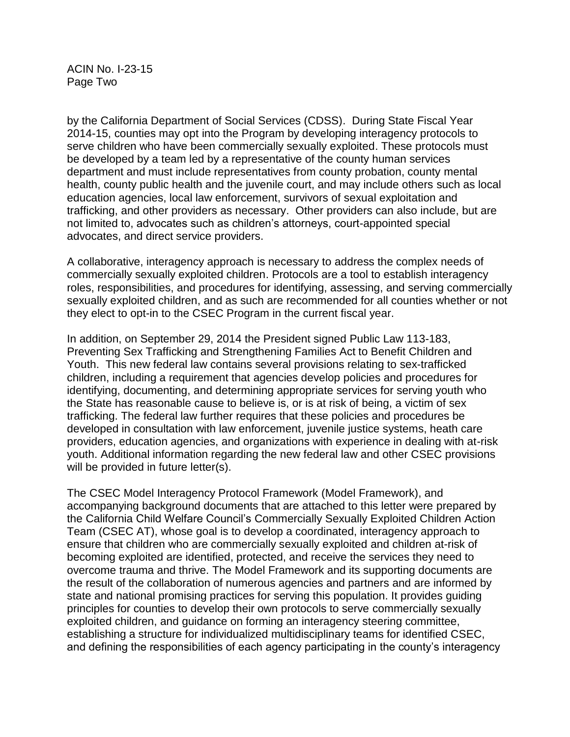ACIN No. I-23-15 Page Two

by the California Department of Social Services (CDSS). During State Fiscal Year 2014-15, counties may opt into the Program by developing interagency protocols to serve children who have been commercially sexually exploited. These protocols must be developed by a team led by a representative of the county human services department and must include representatives from county probation, county mental health, county public health and the juvenile court, and may include others such as local education agencies, local law enforcement, survivors of sexual exploitation and trafficking, and other providers as necessary. Other providers can also include, but are not limited to, advocates such as children's attorneys, court-appointed special advocates, and direct service providers.

A collaborative, interagency approach is necessary to address the complex needs of commercially sexually exploited children. Protocols are a tool to establish interagency roles, responsibilities, and procedures for identifying, assessing, and serving commercially sexually exploited children, and as such are recommended for all counties whether or not they elect to opt-in to the CSEC Program in the current fiscal year.

In addition, on September 29, 2014 the President signed Public Law 113-183, Preventing Sex Trafficking and Strengthening Families Act to Benefit Children and Youth. This new federal law contains several provisions relating to sex-trafficked children, including a requirement that agencies develop policies and procedures for identifying, documenting, and determining appropriate services for serving youth who the State has reasonable cause to believe is, or is at risk of being, a victim of sex trafficking. The federal law further requires that these policies and procedures be developed in consultation with law enforcement, juvenile justice systems, heath care providers, education agencies, and organizations with experience in dealing with at-risk youth. Additional information regarding the new federal law and other CSEC provisions will be provided in future letter(s).

The CSEC Model Interagency Protocol Framework (Model Framework), and accompanying background documents that are attached to this letter were prepared by the California Child Welfare Council's Commercially Sexually Exploited Children Action Team (CSEC AT), whose goal is to develop a coordinated, interagency approach to ensure that children who are commercially sexually exploited and children at-risk of becoming exploited are identified, protected, and receive the services they need to overcome trauma and thrive. The Model Framework and its supporting documents are the result of the collaboration of numerous agencies and partners and are informed by state and national promising practices for serving this population. It provides guiding principles for counties to develop their own protocols to serve commercially sexually exploited children, and guidance on forming an interagency steering committee, establishing a structure for individualized multidisciplinary teams for identified CSEC, and defining the responsibilities of each agency participating in the county's interagency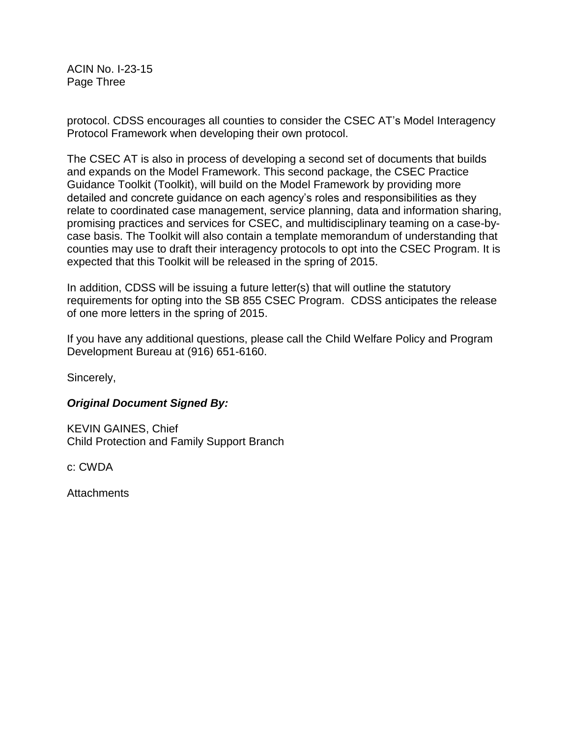ACIN No. I-23-15 Page Three

protocol. CDSS encourages all counties to consider the CSEC AT's Model Interagency Protocol Framework when developing their own protocol.

The CSEC AT is also in process of developing a second set of documents that builds and expands on the Model Framework. This second package, the CSEC Practice Guidance Toolkit (Toolkit), will build on the Model Framework by providing more detailed and concrete guidance on each agency's roles and responsibilities as they relate to coordinated case management, service planning, data and information sharing, promising practices and services for CSEC, and multidisciplinary teaming on a case-bycase basis. The Toolkit will also contain a template memorandum of understanding that counties may use to draft their interagency protocols to opt into the CSEC Program. It is expected that this Toolkit will be released in the spring of 2015.

In addition, CDSS will be issuing a future letter(s) that will outline the statutory requirements for opting into the SB 855 CSEC Program. CDSS anticipates the release of one more letters in the spring of 2015.

If you have any additional questions, please call the Child Welfare Policy and Program Development Bureau at (916) 651-6160.

Sincerely,

# *Original Document Signed By:*

KEVIN GAINES, Chief Child Protection and Family Support Branch

c: CWDA

Attachments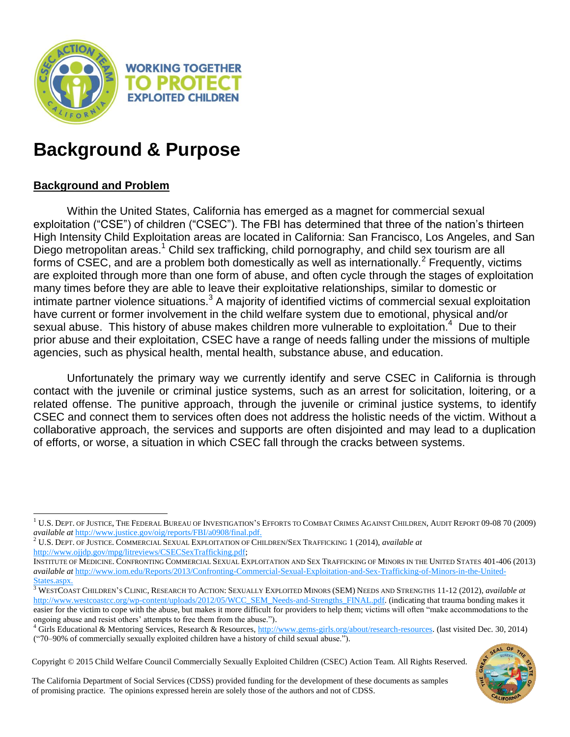

# **Background & Purpose**

# **Background and Problem**

l

Within the United States, California has emerged as a magnet for commercial sexual exploitation ("CSE") of children ("CSEC"). The FBI has determined that three of the nation's thirteen High Intensity Child Exploitation areas are located in California: San Francisco, Los Angeles, and San Diego metropolitan areas.<sup>1</sup> Child sex trafficking, child pornography, and child sex tourism are all forms of CSEC, and are a problem both domestically as well as internationally.<sup>2</sup> Frequently, victims are exploited through more than one form of abuse, and often cycle through the stages of exploitation many times before they are able to leave their exploitative relationships, similar to domestic or intimate partner violence situations.<sup>3</sup> A majority of identified victims of commercial sexual exploitation have current or former involvement in the child welfare system due to emotional, physical and/or sexual abuse. This history of abuse makes children more vulnerable to exploitation.<sup>4</sup> Due to their prior abuse and their exploitation, CSEC have a range of needs falling under the missions of multiple agencies, such as physical health, mental health, substance abuse, and education.

Unfortunately the primary way we currently identify and serve CSEC in California is through contact with the juvenile or criminal justice systems, such as an arrest for solicitation, loitering, or a related offense. The punitive approach, through the juvenile or criminal justice systems, to identify CSEC and connect them to services often does not address the holistic needs of the victim. Without a collaborative approach, the services and supports are often disjointed and may lead to a duplication of efforts, or worse, a situation in which CSEC fall through the cracks between systems.

Copyright © 2015 Child Welfare Council Commercially Sexually Exploited Children (CSEC) Action Team. All Rights Reserved.

The California Department of Social Services (CDSS) provided funding for the development of these documents as samples of promising practice. The opinions expressed herein are solely those of the authors and not of CDSS.

 $^1$  U.S. Dept. of Justice, The Federal Bureau of Investigation's Efforts to Combat Crimes Against Children, Audit Report 09-08 70 (2009) *available at* [http://www.justice.gov/oig/reports/FBI/a0908/final.pdf.](http://www.justice.gov/oig/reports/FBI/a0908/final.pdf)

<sup>2</sup> U.S. DEPT. OF JUSTICE. COMMERCIAL SEXUAL EXPLOITATION OF CHILDREN/SEX TRAFFICKING 1 (2014), *available at* [http://www.ojjdp.gov/mpg/litreviews/CSECSexTrafficking.pdf;](http://www.ojjdp.gov/mpg/litreviews/CSECSexTrafficking.pdf)

INSTITUTE OF MEDICINE. CONFRONTING COMMERCIAL SEXUAL EXPLOITATION AND SEX TRAFFICKING OF MINORS IN THE UNITED STATES 401-406 (2013) *available at* [http://www.iom.edu/Reports/2013/Confronting-Commercial-Sexual-Exploitation-and-Sex-Trafficking-of-Minors-in-the-United-](http://www.iom.edu/Reports/2013/Confronting-Commercial-Sexual-Exploitation-and-Sex-Trafficking-of-Minors-in-the-United-States.aspx)[States.aspx.](http://www.iom.edu/Reports/2013/Confronting-Commercial-Sexual-Exploitation-and-Sex-Trafficking-of-Minors-in-the-United-States.aspx)

<sup>3</sup> WESTCOAST CHILDREN'S CLINIC, RESEARCH TO ACTION: SEXUALLY EXPLOITED MINORS (SEM) NEEDS AND STRENGTHS 11-12 (2012), *available at* [http://www.westcoastcc.org/wp-content/uploads/2012/05/WCC\\_SEM\\_Needs-and-Strengths\\_FINAL.pdf.](http://www.westcoastcc.org/wp-content/uploads/2012/05/WCC_SEM_Needs-and-Strengths_FINAL.pdf) (indicating that trauma bonding makes it easier for the victim to cope with the abuse, but makes it more difficult for providers to help them; victims will often "make accommodations to the ongoing abuse and resist others' attempts to free them from the abuse.").

<sup>&</sup>lt;sup>4</sup> Girls Educational & Mentoring Services, Research & Resources, [http://www.gems-girls.org/about/research-resources.](http://www.gems-girls.org/about/research-resources) (last visited Dec. 30, 2014) ("70–90% of commercially sexually exploited children have a history of child sexual abuse.").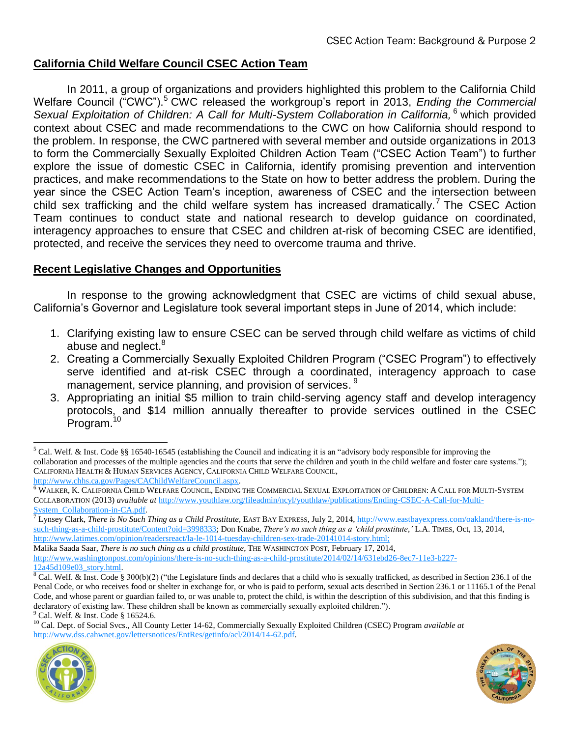# **California Child Welfare Council CSEC Action Team**

In 2011, a group of organizations and providers highlighted this problem to the California Child Welfare Council ("CWC").<sup>5</sup> CWC released the workgroup's report in 2013, *Ending the Commercial Sexual Exploitation of Children: A Call for Multi-System Collaboration in California,* <sup>6</sup> which provided context about CSEC and made recommendations to the CWC on how California should respond to the problem. In response, the CWC partnered with several member and outside organizations in 2013 to form the Commercially Sexually Exploited Children Action Team ("CSEC Action Team") to further explore the issue of domestic CSEC in California, identify promising prevention and intervention practices, and make recommendations to the State on how to better address the problem. During the year since the CSEC Action Team's inception, awareness of CSEC and the intersection between child sex trafficking and the child welfare system has increased dramatically.<sup>7</sup> The CSEC Action Team continues to conduct state and national research to develop guidance on coordinated, interagency approaches to ensure that CSEC and children at-risk of becoming CSEC are identified, protected, and receive the services they need to overcome trauma and thrive.

# **Recent Legislative Changes and Opportunities**

In response to the growing acknowledgment that CSEC are victims of child sexual abuse, California's Governor and Legislature took several important steps in June of 2014, which include:

- 1. Clarifying existing law to ensure CSEC can be served through child welfare as victims of child abuse and neglect.<sup>8</sup>
- 2. Creating a Commercially Sexually Exploited Children Program ("CSEC Program") to effectively serve identified and at-risk CSEC through a coordinated, interagency approach to case management, service planning, and provision of services.<sup>9</sup>
- 3. Appropriating an initial \$5 million to train child-serving agency staff and develop interagency protocols, and \$14 million annually thereafter to provide services outlined in the CSEC Program.<sup>10</sup>

<sup>10</sup> Cal. Dept. of Social Svcs., All County Letter 14-62, Commercially Sexually Exploited Children (CSEC) Program *available at* [http://www.dss.cahwnet.gov/lettersnotices/EntRes/getinfo/acl/2014/14-62.pdf.](http://www.dss.cahwnet.gov/lettersnotices/EntRes/getinfo/acl/2014/14-62.pdf)





 $<sup>5</sup>$  Cal. Welf. & Inst. Code §§ 16540-16545 (establishing the Council and indicating it is an "advisory body responsible for improving the</sup> collaboration and processes of the multiple agencies and the courts that serve the children and youth in the child welfare and foster care systems."); CALIFORNIA HEALTH & HUMAN SERVICES AGENCY, CALIFORNIA CHILD WELFARE COUNCIL, [http://www.chhs.ca.gov/Pages/CAChildWelfareCouncil.aspx.](http://www.chhs.ca.gov/Pages/CAChildWelfareCouncil.aspx) 

<sup>&</sup>lt;sup>6</sup> WALKER, K. CALIFORNIA CHILD WELFARE COUNCIL, ENDING THE COMMERCIAL SEXUAL EXPLOITATION OF CHILDREN: A CALL FOR MULTI-SYSTEM COLLABORATION (2013) *available at* [http://www.youthlaw.org/fileadmin/ncyl/youthlaw/publications/Ending-CSEC-A-Call-for-Multi-](http://www.youthlaw.org/fileadmin/ncyl/youthlaw/publications/Ending-CSEC-A-Call-for-Multi-System_Collaboration-in-CA.pdf)[System\\_Collaboration-in-CA.pdf.](http://www.youthlaw.org/fileadmin/ncyl/youthlaw/publications/Ending-CSEC-A-Call-for-Multi-System_Collaboration-in-CA.pdf)

<sup>&</sup>lt;sup>7</sup> Lynsey Clark, *There is No Such Thing as a Child Prostitute*, EAST BAY EXPRESS, July 2, 2014, [http://www.eastbayexpress.com/oakland/there-is-no](http://www.eastbayexpress.com/oakland/there-is-no-such-thing-as-a-child-prostitute/Content?oid=3998333)[such-thing-as-a-child-prostitute/Content?oid=3998333;](http://www.eastbayexpress.com/oakland/there-is-no-such-thing-as-a-child-prostitute/Content?oid=3998333) Don Knabe, *There's no such thing as a 'child prostitute,'* L.A. TIMES, Oct, 13, 2014, [http://www.latimes.com/opinion/readersreact/la-le-1014-tuesday-children-sex-trade-20141014-story.html;](http://www.latimes.com/opinion/readersreact/la-le-1014-tuesday-children-sex-trade-20141014-story.html)

Malika Saada Saar, *There is no such thing as a child prostitute*, THE WASHINGTON POST, February 17, 2014, [http://www.washingtonpost.com/opinions/there-is-no-such-thing-as-a-child-prostitute/2014/02/14/631ebd26-8ec7-11e3-b227-](http://www.washingtonpost.com/opinions/there-is-no-such-thing-as-a-child-prostitute/2014/02/14/631ebd26-8ec7-11e3-b227-12a45d109e03_story.html) [12a45d109e03\\_story.html.](http://www.washingtonpost.com/opinions/there-is-no-such-thing-as-a-child-prostitute/2014/02/14/631ebd26-8ec7-11e3-b227-12a45d109e03_story.html)

 $8$  Cal. Welf. & Inst. Code § 300(b)(2) ("the Legislature finds and declares that a child who is sexually trafficked, as described in Section 236.1 of the Penal Code, or who receives food or shelter in exchange for, or who is paid to perform, sexual acts described in Section 236.1 or 11165.1 of the Penal Code, and whose parent or guardian failed to, or was unable to, protect the child, is within the description of this subdivision, and that this finding is declaratory of existing law. These children shall be known as commercially sexually exploited children.").

 $9^9$  Cal. Welf. & Inst. Code § 16524.6.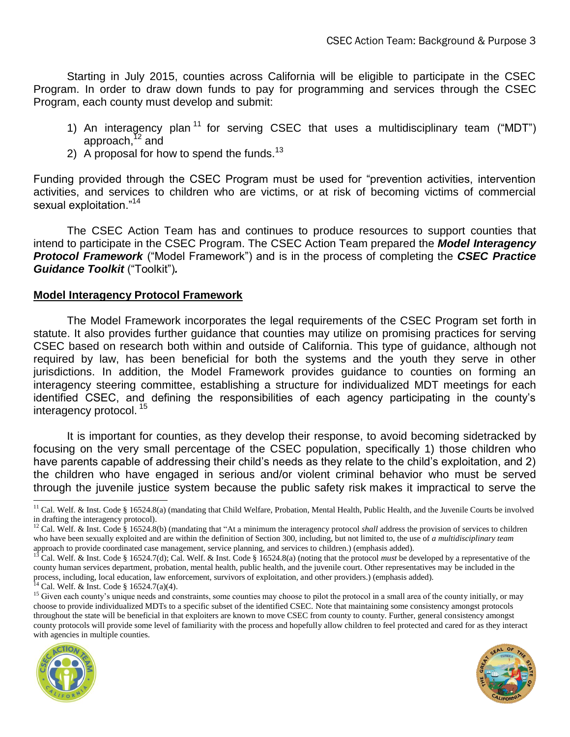Starting in July 2015, counties across California will be eligible to participate in the CSEC Program. In order to draw down funds to pay for programming and services through the CSEC Program, each county must develop and submit:

- 1) An interagency plan<sup>11</sup> for serving CSEC that uses a multidisciplinary team ("MDT") approach, $12$  and
- 2) A proposal for how to spend the funds.<sup>13</sup>

Funding provided through the CSEC Program must be used for "prevention activities, intervention activities, and services to children who are victims, or at risk of becoming victims of commercial sexual exploitation."<sup>14</sup>

The CSEC Action Team has and continues to produce resources to support counties that intend to participate in the CSEC Program. The CSEC Action Team prepared the *Model Interagency Protocol Framework* ("Model Framework") and is in the process of completing the *CSEC Practice Guidance Toolkit* ("Toolkit")*.*

#### **Model Interagency Protocol Framework**

The Model Framework incorporates the legal requirements of the CSEC Program set forth in statute. It also provides further guidance that counties may utilize on promising practices for serving CSEC based on research both within and outside of California. This type of guidance, although not required by law, has been beneficial for both the systems and the youth they serve in other jurisdictions. In addition, the Model Framework provides guidance to counties on forming an interagency steering committee, establishing a structure for individualized MDT meetings for each identified CSEC, and defining the responsibilities of each agency participating in the county's interagency protocol. <sup>15</sup>

It is important for counties, as they develop their response, to avoid becoming sidetracked by focusing on the very small percentage of the CSEC population, specifically 1) those children who have parents capable of addressing their child's needs as they relate to the child's exploitation, and 2) the children who have engaged in serious and/or violent criminal behavior who must be served through the juvenile justice system because the public safety risk makes it impractical to serve the

Cal. Welf. & Inst. Code § 16524.7(a)(4).

<sup>&</sup>lt;sup>15</sup> Given each county's unique needs and constraints, some counties may choose to pilot the protocol in a small area of the county initially, or may choose to provide individualized MDTs to a specific subset of the identified CSEC. Note that maintaining some consistency amongst protocols throughout the state will be beneficial in that exploiters are known to move CSEC from county to county. Further, general consistency amongst county protocols will provide some level of familiarity with the process and hopefully allow children to feel protected and cared for as they interact with agencies in multiple counties.





<sup>&</sup>lt;sup>11</sup> Cal. Welf. & Inst. Code § 16524.8(a) (mandating that Child Welfare, Probation, Mental Health, Public Health, and the Juvenile Courts be involved in drafting the interagency protocol).

<sup>&</sup>lt;sup>12</sup> Cal. Welf. & Inst. Code § 16524.8(b) (mandating that "At a minimum the interagency protocol *shall* address the provision of services to children who have been sexually exploited and are within the definition of Section 300, including, but not limited to, the use of *a multidisciplinary team* approach to provide coordinated case management, service planning, and services to children.) (emphasis added).<br><sup>13</sup> Cal. Walf, & Inst. Cal. 8, 15504, 7(1), 2, 1, y 13, 2, 2

<sup>13</sup> Cal. Welf. & Inst. Code § 16524.7(d); Cal. Welf. & Inst. Code § 16524.8(a) (noting that the protocol *must* be developed by a representative of the county human services department, probation, mental health, public health, and the juvenile court. Other representatives may be included in the process, including, local education, law enforcement, survivors of exploitation, and other providers.) (emphasis added).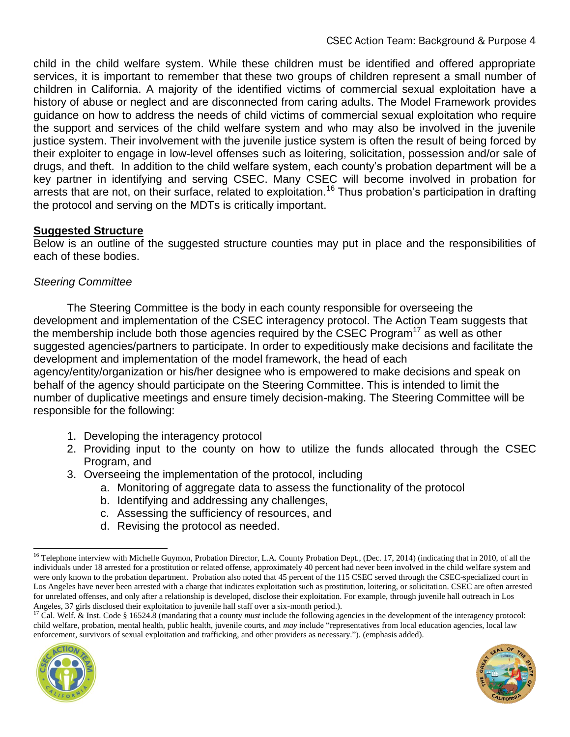child in the child welfare system. While these children must be identified and offered appropriate services, it is important to remember that these two groups of children represent a small number of children in California. A majority of the identified victims of commercial sexual exploitation have a history of abuse or neglect and are disconnected from caring adults. The Model Framework provides guidance on how to address the needs of child victims of commercial sexual exploitation who require the support and services of the child welfare system and who may also be involved in the juvenile justice system. Their involvement with the juvenile justice system is often the result of being forced by their exploiter to engage in low-level offenses such as loitering, solicitation, possession and/or sale of drugs, and theft. In addition to the child welfare system, each county's probation department will be a key partner in identifying and serving CSEC. Many CSEC will become involved in probation for arrests that are not, on their surface, related to exploitation.<sup>16</sup> Thus probation's participation in drafting the protocol and serving on the MDTs is critically important.

# **Suggested Structure**

Below is an outline of the suggested structure counties may put in place and the responsibilities of each of these bodies.

# *Steering Committee*

The Steering Committee is the body in each county responsible for overseeing the development and implementation of the CSEC interagency protocol. The Action Team suggests that the membership include both those agencies required by the CSEC Program<sup>17</sup> as well as other suggested agencies/partners to participate. In order to expeditiously make decisions and facilitate the development and implementation of the model framework, the head of each

agency/entity/organization or his/her designee who is empowered to make decisions and speak on behalf of the agency should participate on the Steering Committee. This is intended to limit the number of duplicative meetings and ensure timely decision-making. The Steering Committee will be responsible for the following:

- 1. Developing the interagency protocol
- 2. Providing input to the county on how to utilize the funds allocated through the CSEC Program, and
- 3. Overseeing the implementation of the protocol, including
	- a. Monitoring of aggregate data to assess the functionality of the protocol
	- b. Identifying and addressing any challenges,
	- c. Assessing the sufficiency of resources, and
	- d. Revising the protocol as needed.

<sup>&</sup>lt;sup>17</sup> Cal. Welf. & Inst. Code § 16524.8 (mandating that a county *must* include the following agencies in the development of the interagency protocol: child welfare, probation, mental health, public health, juvenile courts, and *may* include "representatives from local education agencies, local law enforcement, survivors of sexual exploitation and trafficking, and other providers as necessary."). (emphasis added).





<sup>&</sup>lt;sup>16</sup> Telephone interview with Michelle Guymon, Probation Director, L.A. County Probation Dept., (Dec. 17, 2014) (indicating that in 2010, of all the individuals under 18 arrested for a prostitution or related offense, approximately 40 percent had never been involved in the child welfare system and were only known to the probation department. Probation also noted that 45 percent of the 115 CSEC served through the CSEC-specialized court in Los Angeles have never been arrested with a charge that indicates exploitation such as prostitution, loitering, or solicitation. CSEC are often arrested for unrelated offenses, and only after a relationship is developed, disclose their exploitation. For example, through juvenile hall outreach in Los Angeles, 37 girls disclosed their exploitation to juvenile hall staff over a six-month period.).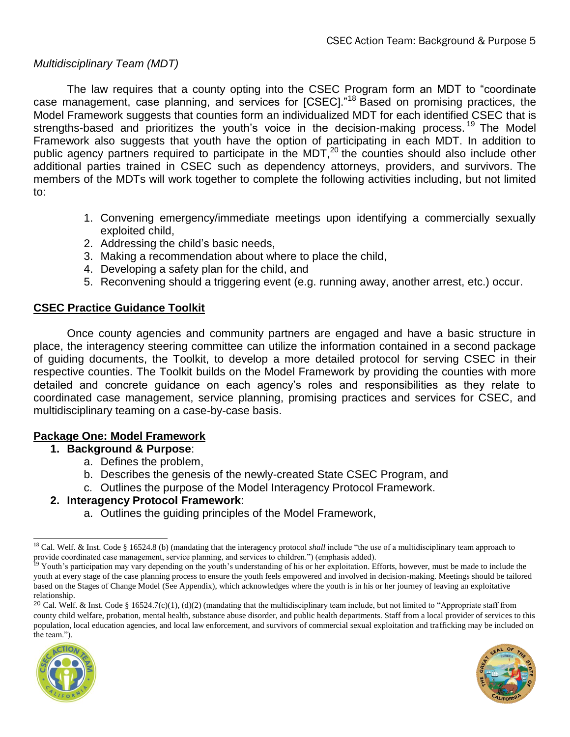## *Multidisciplinary Team (MDT)*

The law requires that a county opting into the CSEC Program form an MDT to "coordinate case management, case planning, and services for [CSEC]."<sup>18</sup> Based on promising practices, the Model Framework suggests that counties form an individualized MDT for each identified CSEC that is strengths-based and prioritizes the youth's voice in the decision-making process.<sup>19</sup> The Model Framework also suggests that youth have the option of participating in each MDT. In addition to public agency partners required to participate in the MDT,<sup>20</sup> the counties should also include other additional parties trained in CSEC such as dependency attorneys, providers, and survivors. The members of the MDTs will work together to complete the following activities including, but not limited to:

- 1. Convening emergency/immediate meetings upon identifying a commercially sexually exploited child,
- 2. Addressing the child's basic needs,
- 3. Making a recommendation about where to place the child,
- 4. Developing a safety plan for the child, and
- 5. Reconvening should a triggering event (e.g. running away, another arrest, etc.) occur.

## **CSEC Practice Guidance Toolkit**

Once county agencies and community partners are engaged and have a basic structure in place, the interagency steering committee can utilize the information contained in a second package of guiding documents, the Toolkit, to develop a more detailed protocol for serving CSEC in their respective counties. The Toolkit builds on the Model Framework by providing the counties with more detailed and concrete guidance on each agency's roles and responsibilities as they relate to coordinated case management, service planning, promising practices and services for CSEC, and multidisciplinary teaming on a case-by-case basis.

#### **Package One: Model Framework**

- **1. Background & Purpose**:
	- a. Defines the problem,
	- b. Describes the genesis of the newly-created State CSEC Program, and
	- c. Outlines the purpose of the Model Interagency Protocol Framework.

#### **2. Interagency Protocol Framework**:

a. Outlines the guiding principles of the Model Framework,

<sup>20</sup> Cal. Welf. & Inst. Code § 16524.7(c)(1), (d)(2) (mandating that the multidisciplinary team include, but not limited to "Appropriate staff from county child welfare, probation, mental health, substance abuse disorder, and public health departments. Staff from a local provider of services to this population, local education agencies, and local law enforcement, and survivors of commercial sexual exploitation and trafficking may be included on the team.").





<sup>&</sup>lt;sup>18</sup> Cal. Welf. & Inst. Code § 16524.8 (b) (mandating that the interagency protocol *shall* include "the use of a multidisciplinary team approach to provide coordinated case management, service planning, and services to children.") (emphasis added).

<sup>&</sup>lt;sup>19</sup> Youth's participation may vary depending on the youth's understanding of his or her exploitation. Efforts, however, must be made to include the youth at every stage of the case planning process to ensure the youth feels empowered and involved in decision-making. Meetings should be tailored based on the Stages of Change Model (See Appendix), which acknowledges where the youth is in his or her journey of leaving an exploitative relationship.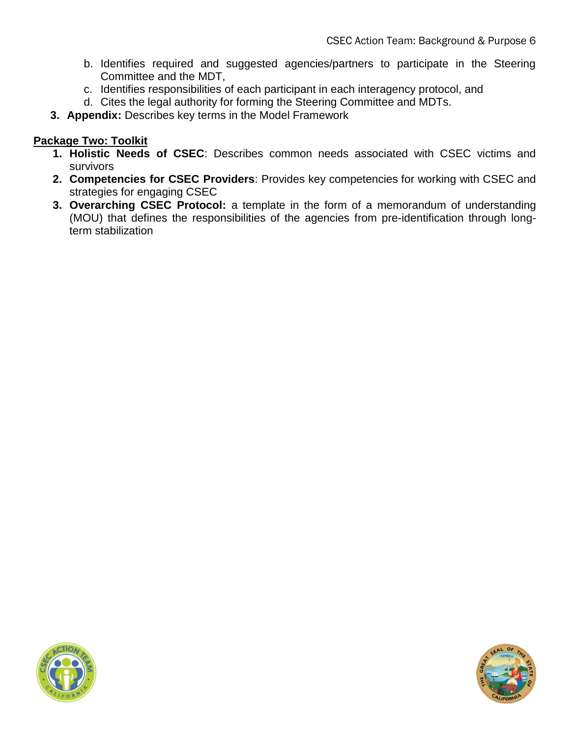- b. Identifies required and suggested agencies/partners to participate in the Steering Committee and the MDT,
- c. Identifies responsibilities of each participant in each interagency protocol, and
- d. Cites the legal authority for forming the Steering Committee and MDTs.
- **3. Appendix:** Describes key terms in the Model Framework

# **Package Two: Toolkit**

- **1. Holistic Needs of CSEC**: Describes common needs associated with CSEC victims and survivors
- **2. Competencies for CSEC Providers**: Provides key competencies for working with CSEC and strategies for engaging CSEC
- **3. Overarching CSEC Protocol:** a template in the form of a memorandum of understanding (MOU) that defines the responsibilities of the agencies from pre-identification through longterm stabilization



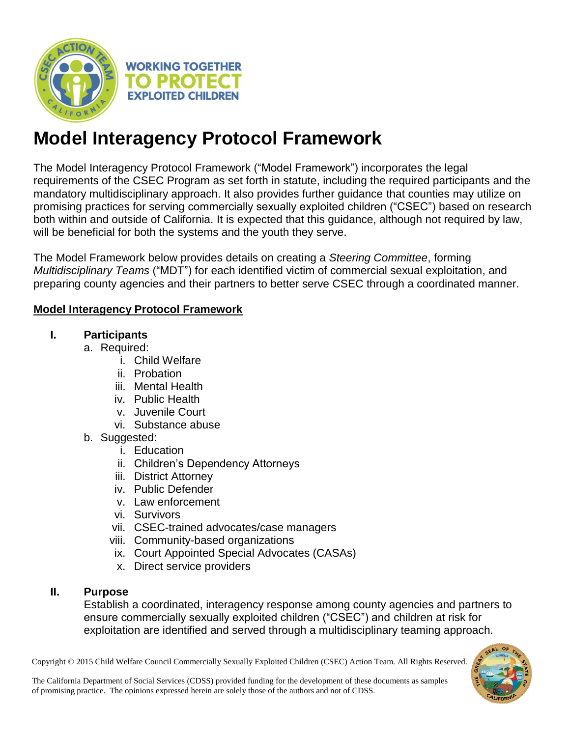

# **Model Interagency Protocol Framework**

The Model Interagency Protocol Framework ("Model Framework") incorporates the legal requirements of the CSEC Program as set forth in statute, including the required participants and the mandatory multidisciplinary approach. It also provides further guidance that counties may utilize on promising practices for serving commercially sexually exploited children ("CSEC") based on research both within and outside of California. It is expected that this guidance, although not required by law, will be beneficial for both the systems and the youth they serve.

The Model Framework below provides details on creating a *Steering Committee*, forming *Multidisciplinary Teams* ("MDT") for each identified victim of commercial sexual exploitation, and preparing county agencies and their partners to better serve CSEC through a coordinated manner.

# **Model Interagency Protocol Framework**

# **I. Participants**

- a. Required:
	- i. Child Welfare
	- ii. Probation
	- iii. Mental Health
	- iv. Public Health
	- v. Juvenile Court
	- vi. Substance abuse
	- b. Suggested:
		- i. Education
		- ii. Children's Dependency Attorneys
		- iii. District Attorney
		- iv. Public Defender
		- v. Law enforcement
		- vi. Survivors
		- vii. CSEC-trained advocates/case managers
		- viii. Community-based organizations
		- ix. Court Appointed Special Advocates (CASAs)
		- x. Direct service providers

# **II. Purpose**

Establish a coordinated, interagency response among county agencies and partners to ensure commercially sexually exploited children ("CSEC") and children at risk for exploitation are identified and served through a multidisciplinary teaming approach.

Copyright © 2015 Child Welfare Council Commercially Sexually Exploited Children (CSEC) Action Team. All Rights Reserved.

The California Department of Social Services (CDSS) provided funding for the development of these documents as samples of promising practice. The opinions expressed herein are solely those of the authors and not of CDSS.

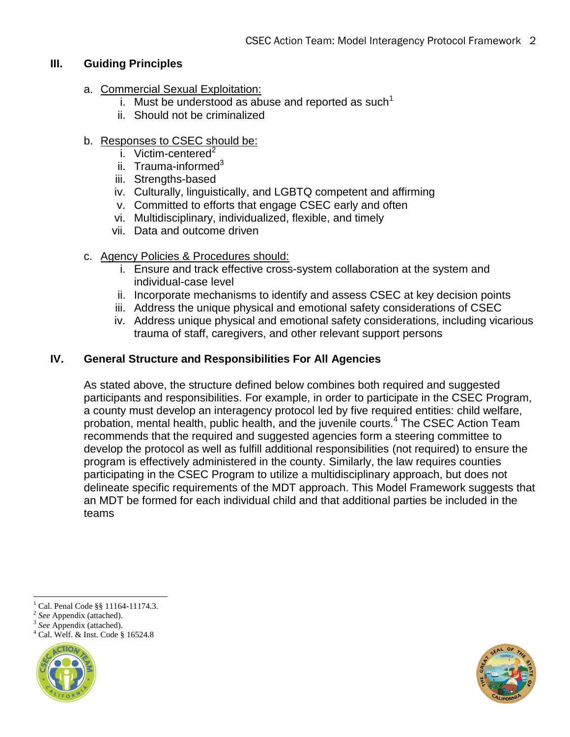# **III. Guiding Principles**

- a. Commercial Sexual Exploitation:
	- i. Must be understood as abuse and reported as such<sup>1</sup>
	- ii. Should not be criminalized

# b. Responses to CSEC should be:

- i. Victim-centered $2$
- ii. Trauma-informed $3$
- iii. Strengths-based
- iv. Culturally, linguistically, and LGBTQ competent and affirming
- v. Committed to efforts that engage CSEC early and often
- vi. Multidisciplinary, individualized, flexible, and timely
- vii. Data and outcome driven
- c. Agency Policies & Procedures should:
	- i. Ensure and track effective cross-system collaboration at the system and individual-case level
	- ii. Incorporate mechanisms to identify and assess CSEC at key decision points
	- iii. Address the unique physical and emotional safety considerations of CSEC
	- iv. Address unique physical and emotional safety considerations, including vicarious trauma of staff, caregivers, and other relevant support persons

# **IV. General Structure and Responsibilities For All Agencies**

As stated above, the structure defined below combines both required and suggested participants and responsibilities. For example, in order to participate in the CSEC Program, a county must develop an interagency protocol led by five required entities: child welfare, probation, mental health, public health, and the juvenile courts.<sup>4</sup> The CSEC Action Team recommends that the required and suggested agencies form a steering committee to develop the protocol as well as fulfill additional responsibilities (not required) to ensure the program is effectively administered in the county. Similarly, the law requires counties participating in the CSEC Program to utilize a multidisciplinary approach, but does not delineate specific requirements of the MDT approach. This Model Framework suggests that an MDT be formed for each individual child and that additional parties be included in the teams

- 2 *See* Appendix (attached).
- 3 *See* Appendix (attached).

<sup>4</sup> Cal. Welf. & Inst. Code § 16524.8





 $1$  Cal. Penal Code §§ 11164-11174.3.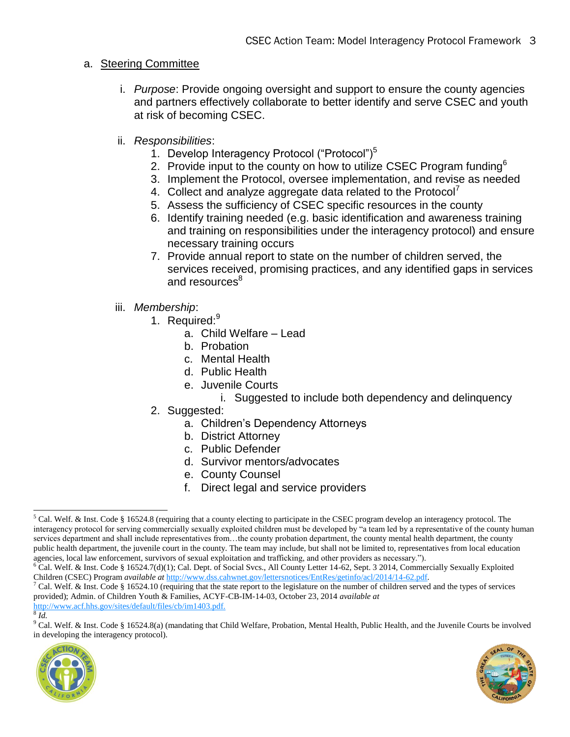# a. Steering Committee

- i. *Purpose*: Provide ongoing oversight and support to ensure the county agencies and partners effectively collaborate to better identify and serve CSEC and youth at risk of becoming CSEC.
- ii. *Responsibilities*:
	- 1. Develop Interagency Protocol ("Protocol")<sup>5</sup>
	- 2. Provide input to the county on how to utilize CSEC Program funding $6$
	- 3. Implement the Protocol, oversee implementation, and revise as needed
	- 4. Collect and analyze aggregate data related to the Protocol<sup>7</sup>
	- 5. Assess the sufficiency of CSEC specific resources in the county
	- 6. Identify training needed (e.g. basic identification and awareness training and training on responsibilities under the interagency protocol) and ensure necessary training occurs
	- 7. Provide annual report to state on the number of children served, the services received, promising practices, and any identified gaps in services and resources<sup>8</sup>
- iii. *Membership*:
	- 1. Required:<sup>9</sup>
		- a. Child Welfare Lead
		- b. Probation
		- c. Mental Health
		- d. Public Health
		- e. Juvenile Courts

# i. Suggested to include both dependency and delinquency

- 2. Suggested:
	- a. Children's Dependency Attorneys
	- b. District Attorney
	- c. Public Defender
	- d. Survivor mentors/advocates
	- e. County Counsel
	- f. Direct legal and service providers

<sup>&</sup>lt;sup>9</sup> Cal. Welf. & Inst. Code § 16524.8(a) (mandating that Child Welfare, Probation, Mental Health, Public Health, and the Juvenile Courts be involved in developing the interagency protocol).





 $<sup>5</sup>$  Cal. Welf. & Inst. Code § 16524.8 (requiring that a county electing to participate in the CSEC program develop an interagency protocol. The</sup> interagency protocol for serving commercially sexually exploited children must be developed by "a team led by a representative of the county human services department and shall include representatives from...the county probation department, the county mental health department, the county public health department, the juvenile court in the county. The team may include, but shall not be limited to, representatives from local education agencies, local law enforcement, survivors of sexual exploitation and trafficking, and other providers as necessary.").

<sup>&</sup>lt;sup>6</sup> Cal. Welf. & Inst. Code § 16524.7(d)(1); Cal. Dept. of Social Svcs., All County Letter 14-62, Sept. 3 2014, Commercially Sexually Exploited Children (CSEC) Program *available at* [http://www.dss.cahwnet.gov/lettersnotices/EntRes/getinfo/acl/2014/14-62.pdf.](http://www.dss.cahwnet.gov/lettersnotices/EntRes/getinfo/acl/2014/14-62.pdf)

<sup>7</sup> Cal. Welf. & Inst. Code § 16524.10 (requiring that the state report to the legislature on the number of children served and the types of services provided); Admin. of Children Youth & Families, ACYF-CB-IM-14-03, October 23, 2014 *available at*  [http://www.acf.hhs.gov/sites/default/files/cb/im1403.pdf.](http://www.acf.hhs.gov/sites/default/files/cb/im1403.pdf)

<sup>8</sup> *Id.*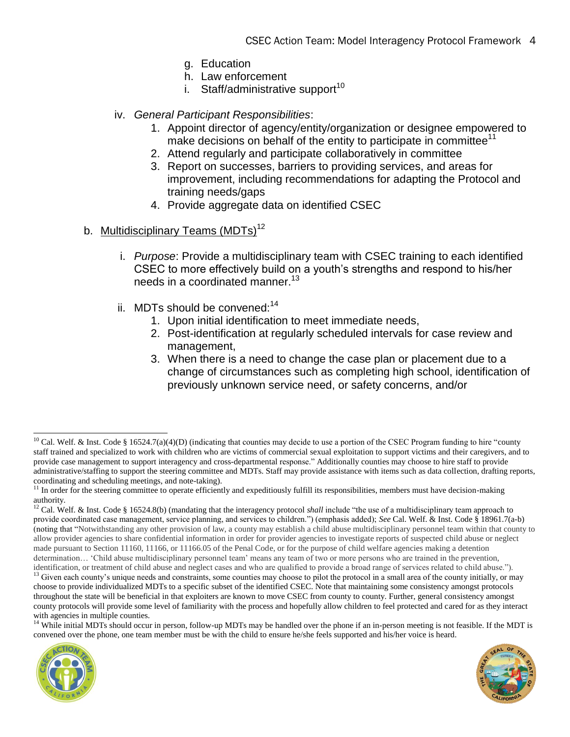- g. Education
- h. Law enforcement
- i. Staff/administrative support<sup>10</sup>
- iv. *General Participant Responsibilities*:
	- 1. Appoint director of agency/entity/organization or designee empowered to make decisions on behalf of the entity to participate in committee<sup>11</sup>
	- 2. Attend regularly and participate collaboratively in committee
	- 3. Report on successes, barriers to providing services, and areas for improvement, including recommendations for adapting the Protocol and training needs/gaps
	- 4. Provide aggregate data on identified CSEC

## b. Multidisciplinary Teams (MDTs)<sup>12</sup>

- i. *Purpose*: Provide a multidisciplinary team with CSEC training to each identified CSEC to more effectively build on a youth's strengths and respond to his/her needs in a coordinated manner.<sup>13</sup>
- ii. MDTs should be convened: $14$ 
	- 1. Upon initial identification to meet immediate needs,
	- 2. Post-identification at regularly scheduled intervals for case review and management,
	- 3. When there is a need to change the case plan or placement due to a change of circumstances such as completing high school, identification of previously unknown service need, or safety concerns, and/or

<sup>14</sup> While initial MDTs should occur in person, follow-up MDTs may be handled over the phone if an in-person meeting is not feasible. If the MDT is convened over the phone, one team member must be with the child to ensure he/she feels supported and his/her voice is heard.





 $10$  Cal. Welf. & Inst. Code § 16524.7(a)(4)(D) (indicating that counties may decide to use a portion of the CSEC Program funding to hire "county staff trained and specialized to work with children who are victims of commercial sexual exploitation to support victims and their caregivers, and to provide case management to support interagency and cross-departmental response." Additionally counties may choose to hire staff to provide administrative/staffing to support the steering committee and MDTs. Staff may provide assistance with items such as data collection, drafting reports, coordinating and scheduling meetings, and note-taking).

<sup>&</sup>lt;sup>11</sup> In order for the steering committee to operate efficiently and expeditiously fulfill its responsibilities, members must have decision-making authority.

<sup>&</sup>lt;sup>12</sup> Cal. Welf. & Inst. Code § 16524.8(b) (mandating that the interagency protocol *shall* include "the use of a multidisciplinary team approach to provide coordinated case management, service planning, and services to children.") (emphasis added); *See* Cal. Welf. & Inst. Code § 18961.7(a-b) (noting that "Notwithstanding any other provision of law, a county may establish a child abuse multidisciplinary personnel team within that county to allow provider agencies to share confidential information in order for provider agencies to investigate reports of suspected child abuse or neglect made pursuant to Section 11160, 11166, or 11166.05 of the Penal Code, or for the purpose of child welfare agencies making a detention determination… 'Child abuse multidisciplinary personnel team' means any team of two or more persons who are trained in the prevention, identification, or treatment of child abuse and neglect cases and who are qualified to provide a broad range of services related to child abuse.").

<sup>&</sup>lt;sup>13</sup> Given each county's unique needs and constraints, some counties may choose to pilot the protocol in a small area of the county initially, or may choose to provide individualized MDTs to a specific subset of the identified CSEC. Note that maintaining some consistency amongst protocols throughout the state will be beneficial in that exploiters are known to move CSEC from county to county. Further, general consistency amongst county protocols will provide some level of familiarity with the process and hopefully allow children to feel protected and cared for as they interact with agencies in multiple counties.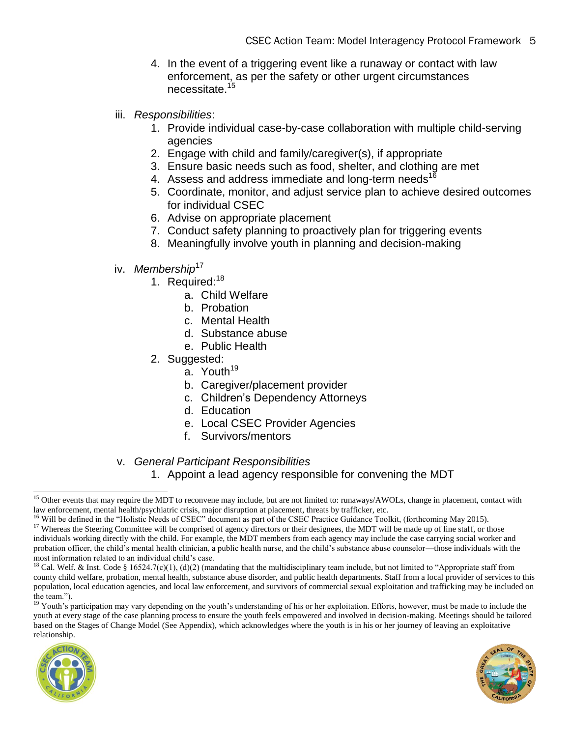- 4. In the event of a triggering event like a runaway or contact with law enforcement, as per the safety or other urgent circumstances necessitate.<sup>15</sup>
- iii. *Responsibilities*:
	- 1. Provide individual case-by-case collaboration with multiple child-serving agencies
	- 2. Engage with child and family/caregiver(s), if appropriate
	- 3. Ensure basic needs such as food, shelter, and clothing are met
	- 4. Assess and address immediate and long-term needs<sup>16</sup>
	- 5. Coordinate, monitor, and adjust service plan to achieve desired outcomes for individual CSEC
	- 6. Advise on appropriate placement
	- 7. Conduct safety planning to proactively plan for triggering events
	- 8. Meaningfully involve youth in planning and decision-making
- iv. Membership<sup>17</sup>
	- 1. Required:<sup>18</sup>
		- a. Child Welfare
		- b. Probation
		- c. Mental Health
		- d. Substance abuse
		- e. Public Health
	- 2. Suggested:
		- a. Youth<sup>19</sup>
		- b. Caregiver/placement provider
		- c. Children's Dependency Attorneys
		- d. Education
		- e. Local CSEC Provider Agencies
		- f. Survivors/mentors

v. *General Participant Responsibilities*

1. Appoint a lead agency responsible for convening the MDT

<sup>&</sup>lt;sup>19</sup> Youth's participation may vary depending on the youth's understanding of his or her exploitation. Efforts, however, must be made to include the youth at every stage of the case planning process to ensure the youth feels empowered and involved in decision-making. Meetings should be tailored based on the Stages of Change Model (See Appendix), which acknowledges where the youth is in his or her journey of leaving an exploitative relationship.





<sup>&</sup>lt;sup>15</sup> Other events that may require the MDT to reconvene may include, but are not limited to: runaways/AWOLs, change in placement, contact with law enforcement, mental health/psychiatric crisis, major disruption at placement, threats by trafficker, etc.

<sup>&</sup>lt;sup>16</sup> Will be defined in the "Holistic Needs of CSEC" document as part of the CSEC Practice Guidance Toolkit, (forthcoming May 2015).

<sup>&</sup>lt;sup>17</sup> Whereas the Steering Committee will be comprised of agency directors or their designees, the MDT will be made up of line staff, or those individuals working directly with the child. For example, the MDT members from each agency may include the case carrying social worker and probation officer, the child's mental health clinician, a public health nurse, and the child's substance abuse counselor—those individuals with the most information related to an individual child's case.

<sup>&</sup>lt;sup>18</sup> Cal. Welf. & Inst. Code § 16524.7(c)(1), (d)(2) (mandating that the multidisciplinary team include, but not limited to "Appropriate staff from county child welfare, probation, mental health, substance abuse disorder, and public health departments. Staff from a local provider of services to this population, local education agencies, and local law enforcement, and survivors of commercial sexual exploitation and trafficking may be included on the team.").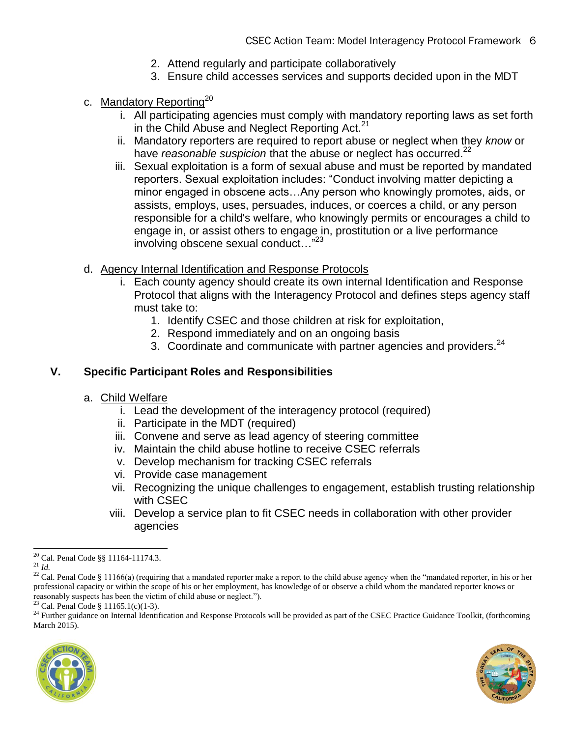- 2. Attend regularly and participate collaboratively
- 3. Ensure child accesses services and supports decided upon in the MDT
- c. Mandatory Reporting<sup>20</sup>
	- i. All participating agencies must comply with mandatory reporting laws as set forth in the Child Abuse and Neglect Reporting Act. $21$
	- ii. Mandatory reporters are required to report abuse or neglect when they *know* or have *reasonable suspicion* that the abuse or neglect has occurred.<sup>22</sup>
	- iii. Sexual exploitation is a form of sexual abuse and must be reported by mandated reporters. Sexual exploitation includes: "Conduct involving matter depicting a minor engaged in obscene acts…Any person who knowingly promotes, aids, or assists, employs, uses, persuades, induces, or coerces a child, or any person responsible for a child's welfare, who knowingly permits or encourages a child to engage in, or assist others to engage in, prostitution or a live performance involving obscene sexual conduct…"<sup>23</sup>
- d. Agency Internal Identification and Response Protocols
	- i. Each county agency should create its own internal Identification and Response Protocol that aligns with the Interagency Protocol and defines steps agency staff must take to:
		- 1. Identify CSEC and those children at risk for exploitation,
		- 2. Respond immediately and on an ongoing basis
		- 3. Coordinate and communicate with partner agencies and providers.<sup>24</sup>

# **V. Specific Participant Roles and Responsibilities**

- a. Child Welfare
	- i. Lead the development of the interagency protocol (required)
	- ii. Participate in the MDT (required)
	- iii. Convene and serve as lead agency of steering committee
	- iv. Maintain the child abuse hotline to receive CSEC referrals
	- v. Develop mechanism for tracking CSEC referrals
	- vi. Provide case management
	- vii. Recognizing the unique challenges to engagement, establish trusting relationship with CSEC
	- viii. Develop a service plan to fit CSEC needs in collaboration with other provider agencies

 $^{24}$  Further guidance on Internal Identification and Response Protocols will be provided as part of the CSEC Practice Guidance Toolkit, (forthcoming March 2015).





l  $^{20}$  Cal. Penal Code §§ 11164-11174.3.

 $^{21}$  *Id.* 

 $22$  Cal. Penal Code § 11166(a) (requiring that a mandated reporter make a report to the child abuse agency when the "mandated reporter, in his or her professional capacity or within the scope of his or her employment, has knowledge of or observe a child whom the mandated reporter knows or reasonably suspects has been the victim of child abuse or neglect.").

<sup>&</sup>lt;sup>23</sup> Cal. Penal Code § 11165.1(c)(1-3).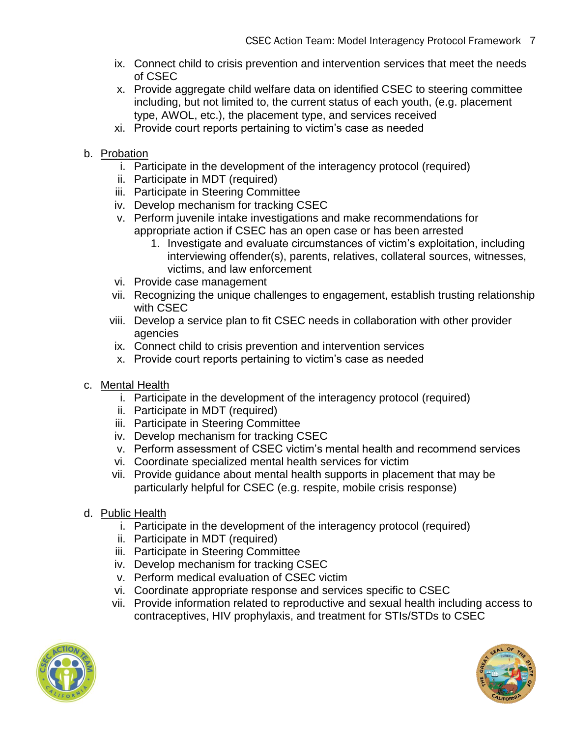- ix. Connect child to crisis prevention and intervention services that meet the needs of CSEC
- x. Provide aggregate child welfare data on identified CSEC to steering committee including, but not limited to, the current status of each youth, (e.g. placement type, AWOL, etc.), the placement type, and services received
- xi. Provide court reports pertaining to victim's case as needed
- b. Probation
	- i. Participate in the development of the interagency protocol (required)
	- ii. Participate in MDT (required)
	- iii. Participate in Steering Committee
	- iv. Develop mechanism for tracking CSEC
	- v. Perform juvenile intake investigations and make recommendations for appropriate action if CSEC has an open case or has been arrested
		- 1. Investigate and evaluate circumstances of victim's exploitation, including interviewing offender(s), parents, relatives, collateral sources, witnesses, victims, and law enforcement
	- vi. Provide case management
	- vii. Recognizing the unique challenges to engagement, establish trusting relationship with CSEC
	- viii. Develop a service plan to fit CSEC needs in collaboration with other provider agencies
	- ix. Connect child to crisis prevention and intervention services
	- x. Provide court reports pertaining to victim's case as needed
- c. Mental Health
	- i. Participate in the development of the interagency protocol (required)
	- ii. Participate in MDT (required)
	- iii. Participate in Steering Committee
	- iv. Develop mechanism for tracking CSEC
	- v. Perform assessment of CSEC victim's mental health and recommend services
	- vi. Coordinate specialized mental health services for victim
	- vii. Provide guidance about mental health supports in placement that may be particularly helpful for CSEC (e.g. respite, mobile crisis response)
- d. Public Health
	- i. Participate in the development of the interagency protocol (required)
	- ii. Participate in MDT (required)
	- iii. Participate in Steering Committee
	- iv. Develop mechanism for tracking CSEC
	- v. Perform medical evaluation of CSEC victim
	- vi. Coordinate appropriate response and services specific to CSEC
	- vii. Provide information related to reproductive and sexual health including access to contraceptives, HIV prophylaxis, and treatment for STIs/STDs to CSEC



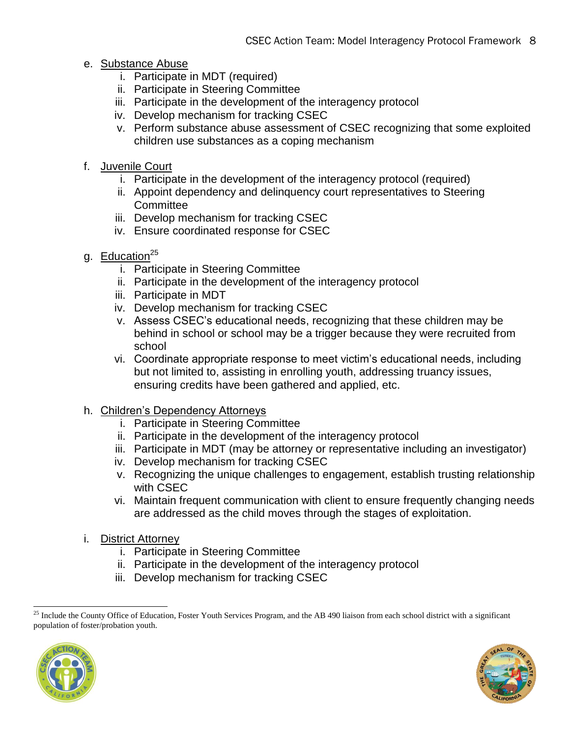- e. Substance Abuse
	- i. Participate in MDT (required)
	- ii. Participate in Steering Committee
	- iii. Participate in the development of the interagency protocol
	- iv. Develop mechanism for tracking CSEC
	- v. Perform substance abuse assessment of CSEC recognizing that some exploited children use substances as a coping mechanism
- f. Juvenile Court
	- i. Participate in the development of the interagency protocol (required)
	- ii. Appoint dependency and delinquency court representatives to Steering **Committee**
	- iii. Develop mechanism for tracking CSEC
	- iv. Ensure coordinated response for CSEC
- g. Education $^{25}$ 
	- i. Participate in Steering Committee
	- ii. Participate in the development of the interagency protocol
	- iii. Participate in MDT
	- iv. Develop mechanism for tracking CSEC
	- v. Assess CSEC's educational needs, recognizing that these children may be behind in school or school may be a trigger because they were recruited from school
	- vi. Coordinate appropriate response to meet victim's educational needs, including but not limited to, assisting in enrolling youth, addressing truancy issues, ensuring credits have been gathered and applied, etc.
- h. Children's Dependency Attorneys
	- i. Participate in Steering Committee
	- ii. Participate in the development of the interagency protocol
	- iii. Participate in MDT (may be attorney or representative including an investigator)
	- iv. Develop mechanism for tracking CSEC
	- v. Recognizing the unique challenges to engagement, establish trusting relationship with CSEC
	- vi. Maintain frequent communication with client to ensure frequently changing needs are addressed as the child moves through the stages of exploitation.
- i. District Attorney
	- i. Participate in Steering Committee
	- ii. Participate in the development of the interagency protocol
	- iii. Develop mechanism for tracking CSEC

<sup>&</sup>lt;sup>25</sup> Include the County Office of Education, Foster Youth Services Program, and the AB 490 liaison from each school district with a significant population of foster/probation youth.



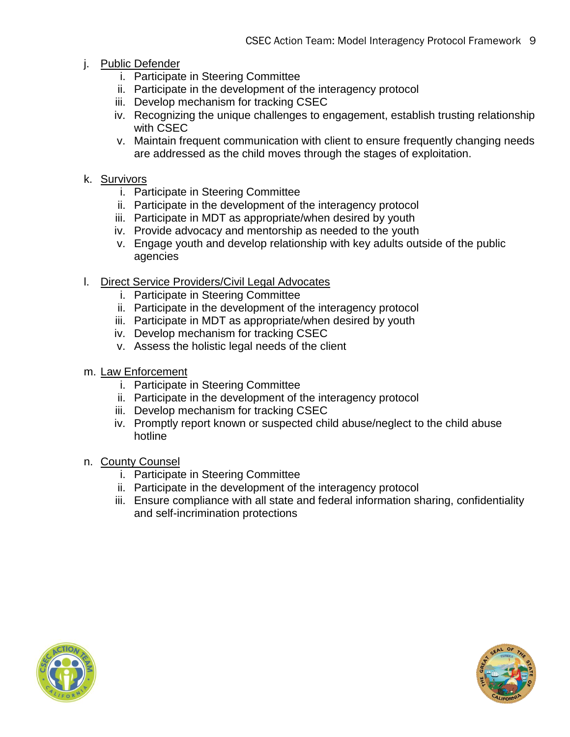- j. Public Defender
	- i. Participate in Steering Committee
	- ii. Participate in the development of the interagency protocol
	- iii. Develop mechanism for tracking CSEC
	- iv. Recognizing the unique challenges to engagement, establish trusting relationship with CSEC
	- v. Maintain frequent communication with client to ensure frequently changing needs are addressed as the child moves through the stages of exploitation.
- k. Survivors
	- i. Participate in Steering Committee
	- ii. Participate in the development of the interagency protocol
	- iii. Participate in MDT as appropriate/when desired by youth
	- iv. Provide advocacy and mentorship as needed to the youth
	- v. Engage youth and develop relationship with key adults outside of the public agencies
- l. Direct Service Providers/Civil Legal Advocates
	- i. Participate in Steering Committee
	- ii. Participate in the development of the interagency protocol
	- iii. Participate in MDT as appropriate/when desired by youth
	- iv. Develop mechanism for tracking CSEC
	- v. Assess the holistic legal needs of the client
- m. Law Enforcement
	- i. Participate in Steering Committee
	- ii. Participate in the development of the interagency protocol
	- iii. Develop mechanism for tracking CSEC
	- iv. Promptly report known or suspected child abuse/neglect to the child abuse hotline
- n. County Counsel
	- i. Participate in Steering Committee
	- ii. Participate in the development of the interagency protocol
	- iii. Ensure compliance with all state and federal information sharing, confidentiality and self-incrimination protections



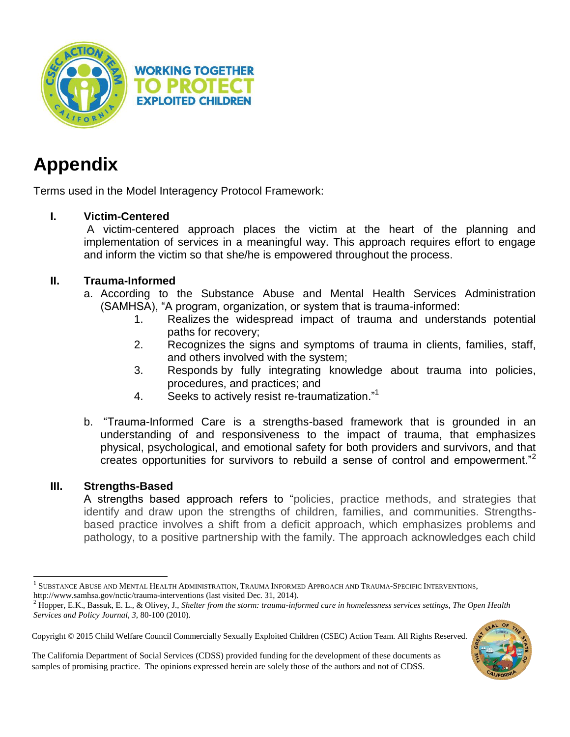



# **Appendix**

Terms used in the Model Interagency Protocol Framework:

# **I. Victim-Centered**

A victim-centered approach places the victim at the heart of the planning and implementation of services in a meaningful way. This approach requires effort to engage and inform the victim so that she/he is empowered throughout the process.

# **II. Trauma-Informed**

- a. According to the Substance Abuse and Mental Health Services Administration (SAMHSA), "A program, organization, or system that is trauma-informed:
	- 1. Realizes the widespread impact of trauma and understands potential paths for recovery;
	- 2. Recognizes the signs and symptoms of trauma in clients, families, staff, and others involved with the system;
	- 3. Responds by fully integrating knowledge about trauma into policies, procedures, and practices; and
	- 4. Seeks to actively resist re-traumatization."<sup>1</sup>
- b. "Trauma-Informed Care is a strengths-based framework that is grounded in an understanding of and responsiveness to the impact of trauma, that emphasizes physical, psychological, and emotional safety for both providers and survivors, and that creates opportunities for survivors to rebuild a sense of control and empowerment."<sup>2</sup>

# **III. Strengths-Based**

l

A strengths based approach refers to "policies, practice methods, and strategies that identify and draw upon the strengths of children, families, and communities. Strengthsbased practice involves a shift from a deficit approach, which emphasizes problems and pathology, to a positive partnership with the family. The approach acknowledges each child

Copyright © 2015 Child Welfare Council Commercially Sexually Exploited Children (CSEC) Action Team. All Rights Reserved.



The California Department of Social Services (CDSS) provided funding for the development of these documents as samples of promising practice. The opinions expressed herein are solely those of the authors and not of CDSS.

<sup>&</sup>lt;sup>1</sup> SUBSTANCE ABUSE AND MENTAL HEALTH ADMINISTRATION, TRAUMA INFORMED APPROACH AND TRAUMA-SPECIFIC INTERVENTIONS, http://www.samhsa.gov/nctic/trauma-interventions (last visited Dec. 31, 2014).

<sup>2</sup> Hopper, E.K., Bassuk, E. L., & Olivey, J., *Shelter from the storm: trauma-informed care in homelessness services settings*, *The Open Health Services and Policy Journal, 3,* 80-100 (2010).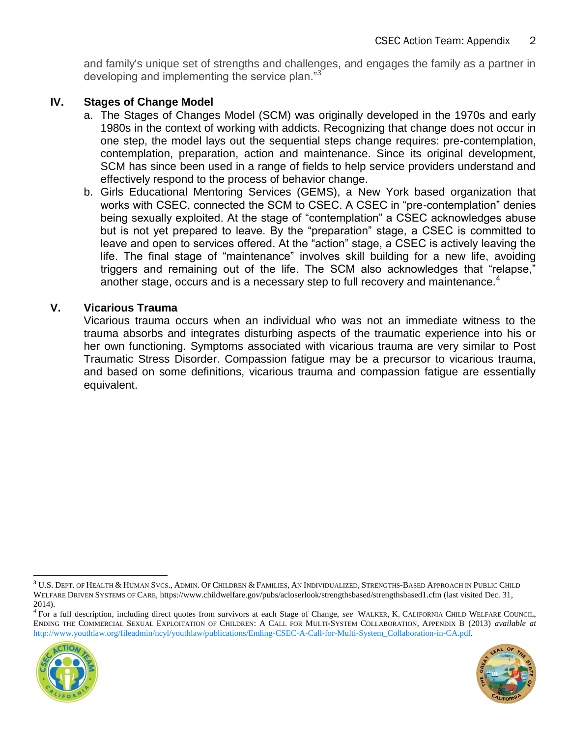and family's unique set of strengths and challenges, and engages the family as a partner in developing and implementing the service plan."<sup>3</sup>

# **IV. Stages of Change Model**

- a. The Stages of Changes Model (SCM) was originally developed in the 1970s and early 1980s in the context of working with addicts. Recognizing that change does not occur in one step, the model lays out the sequential steps change requires: pre-contemplation, contemplation, preparation, action and maintenance. Since its original development, SCM has since been used in a range of fields to help service providers understand and effectively respond to the process of behavior change.
- b. Girls Educational Mentoring Services (GEMS), a New York based organization that works with CSEC, connected the SCM to CSEC. A CSEC in "pre-contemplation" denies being sexually exploited. At the stage of "contemplation" a CSEC acknowledges abuse but is not yet prepared to leave. By the "preparation" stage, a CSEC is committed to leave and open to services offered. At the "action" stage, a CSEC is actively leaving the life. The final stage of "maintenance" involves skill building for a new life, avoiding triggers and remaining out of the life. The SCM also acknowledges that "relapse," another stage, occurs and is a necessary step to full recovery and maintenance.<sup>4</sup>

## **V. Vicarious Trauma**

Vicarious trauma occurs when an individual who was not an immediate witness to the trauma absorbs and integrates disturbing aspects of the traumatic experience into his or her own functioning. Symptoms associated with vicarious trauma are very similar to Post Traumatic Stress Disorder. Compassion fatigue may be a precursor to vicarious trauma, and based on some definitions, vicarious trauma and compassion fatigue are essentially equivalent.

<sup>4</sup> For a full description, including direct quotes from survivors at each Stage of Change, *see* WALKER, K. CALIFORNIA CHILD WELFARE COUNCIL, ENDING THE COMMERCIAL SEXUAL EXPLOITATION OF CHILDREN: A CALL FOR MULTI-SYSTEM COLLABORATION, APPENDIX B (2013) *available at*  [http://www.youthlaw.org/fileadmin/ncyl/youthlaw/publications/Ending-CSEC-A-Call-for-Multi-System\\_Collaboration-in-CA.pdf.](http://www.youthlaw.org/fileadmin/ncyl/youthlaw/publications/Ending-CSEC-A-Call-for-Multi-System_Collaboration-in-CA.pdf)





**<sup>3</sup>** U.S. DEPT. OF HEALTH & HUMAN SVCS., ADMIN. OF CHILDREN & FAMILIES, AN INDIVIDUALIZED, STRENGTHS-BASED APPROACH IN PUBLIC CHILD WELFARE DRIVEN SYSTEMS OF CARE, https://www.childwelfare.gov/pubs/acloserlook/strengthsbased/strengthsbased1.cfm (last visited Dec. 31, 2014).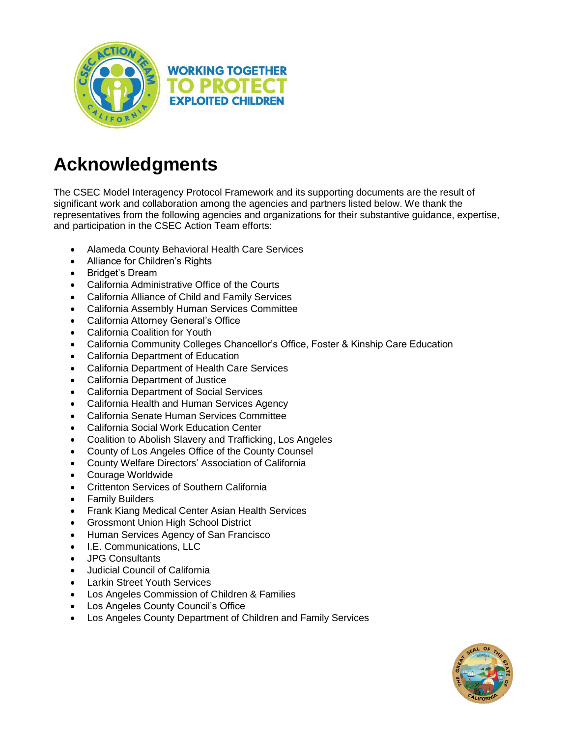

# **Acknowledgments**

The CSEC Model Interagency Protocol Framework and its supporting documents are the result of significant work and collaboration among the agencies and partners listed below. We thank the representatives from the following agencies and organizations for their substantive guidance, expertise, and participation in the CSEC Action Team efforts:

- Alameda County Behavioral Health Care Services
- Alliance for Children's Rights
- Bridget's Dream
- California Administrative Office of the Courts
- California Alliance of Child and Family Services
- California Assembly Human Services Committee
- California Attorney General's Office
- California Coalition for Youth
- California Community Colleges Chancellor's Office, Foster & Kinship Care Education
- California Department of Education
- California Department of Health Care Services
- California Department of Justice
- California Department of Social Services
- California Health and Human Services Agency
- California Senate Human Services Committee
- California Social Work Education Center
- Coalition to Abolish Slavery and Trafficking, Los Angeles
- County of Los Angeles Office of the County Counsel
- County Welfare Directors' Association of California
- Courage Worldwide
- Crittenton Services of Southern California
- Family Builders
- Frank Kiang Medical Center Asian Health Services
- Grossmont Union High School District
- Human Services Agency of San Francisco
- I.E. Communications, LLC
- JPG Consultants
- Judicial Council of California
- Larkin Street Youth Services
- Los Angeles Commission of Children & Families
- Los Angeles County Council's Office
- Los Angeles County Department of Children and Family Services